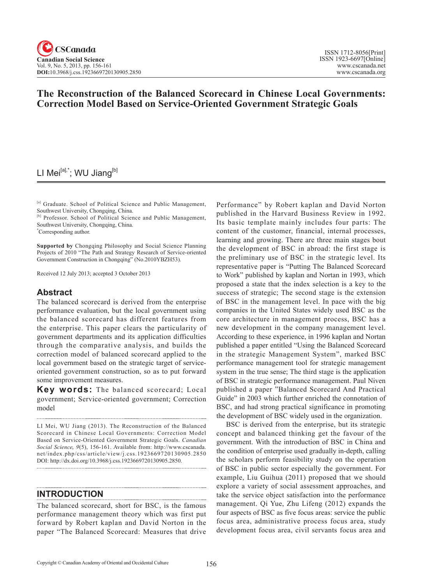# **The Reconstruction of the Balanced Scorecard in Chinese Local Governments: Correction Model Based on Service-Oriented Government Strategic Goals**

# LI Mei<sup>[a],\*</sup>; WU Jiang<sup>[b]</sup>

[a] Graduate. School of Political Science and Public Management, Southwest University, Chongqing, China.

[b] Professor. School of Political Science and Public Management, Southwest University, Chongqing, China.

\* Corresponding author.

**Supported by** Chongqing Philosophy and Social Science Planning Projects of 2010 "The Path and Strategy Research of Service-oriented Government Construction in Chongqing" (No.2010YBZH53).

Received 12 July 2013; accepted 3 October 2013

# **Abstract**

The balanced scorecard is derived from the enterprise performance evaluation, but the local government using the balanced scorecard has different features from the enterprise. This paper clears the particularity of government departments and its application difficulties through the comparative analysis, and builds the correction model of balanced scorecard applied to the local government based on the strategic target of serviceoriented government construction, so as to put forward some improvement measures.

**Key words:** The balanced scorecard; Local government; Service-oriented government; Correction model

LI Mei, WU Jiang (2013). The Reconstruction of the Balanced Scorecard in Chinese Local Governments: Correction Model Based on Service-Oriented Government Strategic Goals. *Canadian Social Science*, <sup>9</sup>(5), 156-161. Available from: http://www.cscanada. net/index.php/css/article/view/j.css.1923669720130905.2850 DOI: http://dx.doi.org/10.3968/j.css.1923669720130905.2850.

## **INTRODUCTION**

The balanced scorecard, short for BSC, is the famous performance management theory which was first put forward by Robert kaplan and David Norton in the paper "The Balanced Scorecard: Measures that drive

Performance" by Robert kaplan and David Norton published in the Harvard Business Review in 1992. Its basic template mainly includes four parts: The content of the customer, financial, internal processes, learning and growing. There are three main stages bout the development of BSC in abroad: the first stage is the preliminary use of BSC in the strategic level. Its representative paper is "Putting The Balanced Scorecard to Work" published by kaplan and Nortan in 1993, which proposed a state that the index selection is a key to the success of strategic; The second stage is the extension of BSC in the management level. In pace with the big companies in the United States widely used BSC as the core architecture in management process, BSC has a new development in the company management level. According to these experience, in 1996 kaplan and Nortan published a paper entitled "Using the Balanced Scorecard in the strategic Management System", marked BSC performance management tool for strategic management system in the true sense; The third stage is the application of BSC in strategic performance management. Paul Niven published a paper "Balanced Scorecard And Practical Guide" in 2003 which further enriched the connotation of BSC, and had strong practical significance in promoting the development of BSC widely used in the organization.

BSC is derived from the enterprise, but its strategic concept and balanced thinking get the favour of the government. With the introduction of BSC in China and the condition of enterprise used gradually in-depth, calling the scholars perform feasibility study on the operation of BSC in public sector especially the government. For example, Liu Guihua (2011) proposed that we should explore a variety of social assessment approaches, and take the service object satisfaction into the performance management. Qi Yue, Zhu Lifeng (2012) expands the four aspects of BSC as five focus areas: service the public focus area, administrative process focus area, study development focus area, civil servants focus area and

. . . . . . . . . . . . .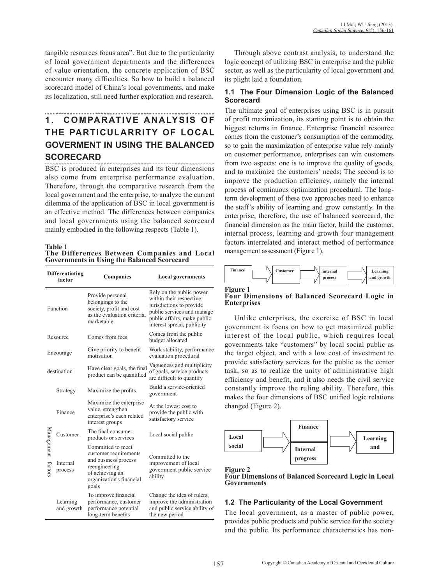tangible resources focus area". But due to the particularity of local government departments and the differences of value orientation, the concrete application of BSC encounter many difficulties. So how to build a balanced scorecard model of China's local governments, and make its localization, still need further exploration and research.

# 1. COMPARATIVE ANALYSIS OF **THE PARTICULARRITY OF LOCAL GOVERMENT IN USING THE BALANCED SCORECARD**

BSC is produced in enterprises and its four dimensions also come from enterprise performance evaluation. Therefore, through the comparative research from the local government and the enterprise, to analyze the current dilemma of the application of BSC in local government is an effective method. The differences between companies and local governments using the balanced scorecard mainly embodied in the following respects (Table 1).

**Table 1 The Differences Between Companies and Local Governments in Using the Balanced Scorecard**

| <b>Differentiating</b><br>factor |                        | Companies                                                                                                                                   | <b>Local governments</b>                                                                                                                                                   |
|----------------------------------|------------------------|---------------------------------------------------------------------------------------------------------------------------------------------|----------------------------------------------------------------------------------------------------------------------------------------------------------------------------|
| Function                         |                        | Provide personal<br>belongings to the<br>society, profit and cost<br>as the evaluation criteria,<br>marketable                              | Rely on the public power<br>within their respective<br>jurisdictions to provide<br>public services and manage<br>public affairs, make public<br>interest spread, publicity |
| Resource                         |                        | Comes from fees                                                                                                                             | Comes from the public<br>budget allocated                                                                                                                                  |
| Encourage                        |                        | Give priority to benefit<br>motivation                                                                                                      | Work stability, performance<br>evaluation procedural                                                                                                                       |
| destination                      |                        | Have clear goals, the final<br>product can be quantified                                                                                    | Vagueness and multiplicity<br>of goals, service products<br>are difficult to quantify                                                                                      |
| Management factors               | Strategy               | Maximize the profits                                                                                                                        | Build a service-oriented<br>government                                                                                                                                     |
|                                  | Finance                | Maximize the enterprise<br>value, strengthen<br>enterprise's each related<br>interest groups                                                | At the lowest cost to<br>provide the public with<br>satisfactory service                                                                                                   |
|                                  | Customer               | The final consumer<br>products or services                                                                                                  | Local social public                                                                                                                                                        |
|                                  | Internal<br>process    | Committed to meet<br>customer requirements<br>and business process<br>reengineering<br>of achieving an<br>organization's financial<br>goals | Committed to the<br>improvement of local<br>government public service<br>ability                                                                                           |
|                                  | Learning<br>and growth | To improve financial<br>performance, customer<br>performance potential<br>long-term benefits                                                | Change the idea of rulers,<br>improve the administration<br>and public service ability of<br>the new period                                                                |

Through above contrast analysis, to understand the logic concept of utilizing BSC in enterprise and the public sector, as well as the particularity of local government and its plight laid a foundation.

# **1.1 The Four Dimension Logic of the Balanced Scorecard**

The ultimate goal of enterprises using BSC is in pursuit of profit maximization, its starting point is to obtain the biggest returns in finance. Enterprise financial resource comes from the customer's consumption of the commodity, so to gain the maximization of enterprise value rely mainly on customer performance, enterprises can win customers from two aspects: one is to improve the quality of goods, and to maximize the customers' needs; The second is to improve the production efficiency, namely the internal process of continuous optimization procedural. The longterm development of these two approaches need to enhance the staff's ability of learning and grow constantly. In the enterprise, therefore, the use of balanced scorecard, the financial dimension as the main factor, build the customer, internal process, learning and growth four management factors interrelated and interact method of performance management assessment (Figure 1).



**Four Dimensions of Balanced Scorecard Logic in Enterprises**

Unlike enterprises, the exercise of BSC in local government is focus on how to get maximized public interest of the local public, which requires local governments take "customers" by local social public as the target object, and with a low cost of investment to provide satisfactory services for the public as the center task, so as to realize the unity of administrative high efficiency and benefit, and it also needs the civil service constantly improve the ruling ability. Therefore, this makes the four dimensions of BSC unified logic relations changed (Figure 2).





# **1.2 The Particularity of the Local Government**

The local government, as a master of public power, provides public products and public service for the society and the public. Its performance characteristics has non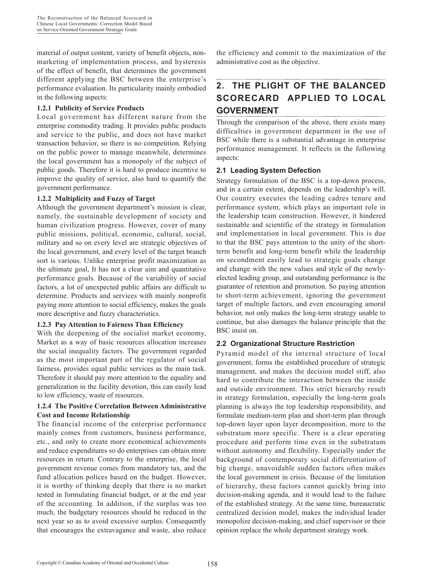material of output content, variety of benefit objects, nonmarketing of implementation process, and hysteresis of the effect of benefit, that determines the government different applying the BSC between the enterprise's performance evaluation. Its particularity mainly embodied in the following aspects:

#### **1.2.1 Publicity of Service Products**

Local government has different nature from the enterprise commodity trading. It provides public products and service to the public, and does not have market transaction behavior, so there is no competition. Relying on the public power to manage meanwhile, determines the local government has a monopoly of the subject of public goods. Therefore it is hard to produce incentive to improve the quality of service, also hard to quantify the government performance.

#### **1.2.2 Multiplicity and Fuzzy of Target**

Although the government department's mission is clear, namely, the sustainable development of society and human civilization progress. However, cover of many public missions, political, economic, cultural, social, military and so on every level are strategic objectives of the local government, and every level of the target branch sort is various. Unlike enterprise profit maximization as the ultimate goal, It has not a clear aim and quantitative performance goals. Because of the variability of social factors, a lot of unexpected public affairs are difficult to determine. Products and services with mainly nonprofit paying more attention to social efficiency, makes the goals more descriptive and fuzzy characteristics.

#### **1.2.3 Pay Attention to Fairness Than Efficiency**

With the deepening of the socialist market economy, Market as a way of basic resources allocation increases the social inequality factors. The government regarded as the most important part of the regulator of social fairness, provides equal public services as the main task. Therefore it should pay more attention to the equality and generalization in the facility devotion, this can easily lead to low efficiency, waste of resources.

#### **1.2.4 The Positive Correlation Between Administrative Cost and Income Relationship**

The financial income of the enterprise performance mainly comes from customers, business performance, etc., and only to create more economical achievements and reduce expenditures so do enterprises can obtain more resources in return. Contrary to the enterprise, the local government revenue comes from mandatory tax, and the fund allocation polices based on the budget. However, it is worthy of thinking deeply that there is no market tested in formulating financial budget, or at the end year of the accounting. In addition, if the surplus was too much, the budgetary resources should be reduced in the next year so as to avoid excessive surplus. Consequently that encourages the extravagance and waste, also reduce the efficiency and commit to the maximization of the administrative cost as the objective.

# **2. THE PLIGHT OF THE BALANCED SCORECARD APPLIED TO LOCAL GOVERNMENT**

Through the comparison of the above, there exists many difficulties in government department in the use of BSC while there is a substantial advantage in enterprise performance management. It reflects in the following aspects:

# **2.1 Leading System Defection**

Strategy formulation of the BSC is a top-down process, and in a certain extent, depends on the leadership's will. Our country executes the leading cadres tenure and performance system, which plays an important role in the leadership team construction. However, it hindered sustainable and scientific of the strategy in formulation and implementation in local government. This is due to that the BSC pays attention to the unity of the shortterm benefit and long-term benefit while the leadership on secondment easily lead to strategic goals change and change with the new values and style of the newlyelected leading group, and outstanding performance is the guarantee of retention and promotion. So paying attention to short-term achievement, ignoring the government target of multiple factors, and even encouraging amoral behavior, not only makes the long-term strategy unable to continue, but also damages the balance principle that the BSC insist on.

## **2.2 Organizational Structure Restriction**

Pyramid model of the internal structure of local government, forms the established procedure of strategic management, and makes the decision model stiff, also hard to contribute the interaction between the inside and outside environment. This strict hierarchy result in strategy formulation, especially the long-term goals planning is always the top leadership responsibility, and formulate medium-term plan and short-term plan through top-down layer upon layer decomposition, more to the substratum more specific. There is a clear operating procedure and perform time even in the substratum without autonomy and flexibility. Especially under the background of contemporary social differentiation of big change, unavoidable sudden factors often makes the local government in crisis. Because of the limitation of hierarchy, these factors cannot quickly bring into decision-making agenda, and it would lead to the failure of the established strategy. At the same time, bureaucratic centralized decision model, makes the individual leader monopolize decision-making, and chief supervisor or their opinion replace the whole department strategy work.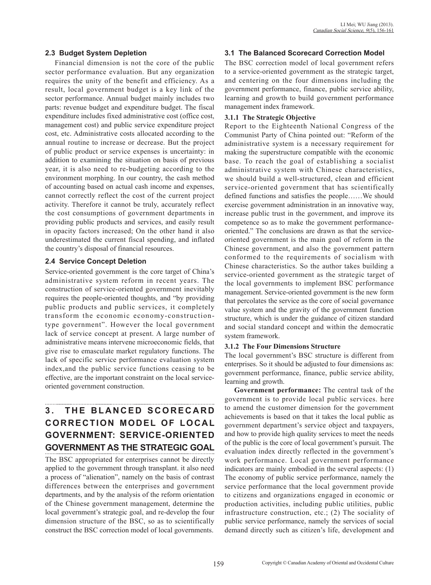#### **2.3 Budget System Depletion**

Financial dimension is not the core of the public sector performance evaluation. But any organization requires the unity of the benefit and efficiency. As a result, local government budget is a key link of the sector performance. Annual budget mainly includes two parts: revenue budget and expenditure budget. The fiscal expenditure includes fixed administrative cost (office cost, management cost) and public service expenditure project cost, etc. Administrative costs allocated according to the annual routine to increase or decrease. But the project of public product or service expenses is uncertainty: in addition to examining the situation on basis of previous year, it is also need to re-budgeting according to the environment morphing. In our country, the cash method of accounting based on actual cash income and expenses, cannot correctly reflect the cost of the current project activity. Therefore it cannot be truly, accurately reflect the cost consumptions of government departments in providing public products and services, and easily result in opacity factors increased; On the other hand it also underestimated the current fiscal spending, and inflated the country's disposal of financial resources.

#### **2.4 Service Concept Deletion**

Service-oriented government is the core target of China's administrative system reform in recent years. The construction of service-oriented government inevitably requires the people-oriented thoughts, and "by providing public products and public services, it completely transform the economic economy-constructiontype government". However the local government lack of service concept at present. A large number of administrative means intervene microeconomic fields, that give rise to emasculate market regulatory functions. The lack of specific service performance evaluation system index,and the public service functions ceasing to be effective, are the important constraint on the local serviceoriented government construction.

# **3. THE BLANCED SCORECARD CORRECTION MODEL OF LOCAL GOVERNMENT: SERVICE-ORIENTED GOVERNMENT AS THE STRATEGIC GOAL**

The BSC appropriated for enterprises cannot be directly applied to the government through transplant. it also need a process of "alienation", namely on the basis of contrast differences between the enterprises and government departments, and by the analysis of the reform orientation of the Chinese government management, determine the local government's strategic goal, and re-develop the four dimension structure of the BSC, so as to scientifically construct the BSC correction model of local governments.

#### **3.1 The Balanced Scorecard Correction Model**

The BSC correction model of local government refers to a service-oriented government as the strategic target, and centering on the four dimensions including the government performance, finance, public service ability, learning and growth to build government performance management index framework.

#### **3.1.1 The Strategic Objective**

Report to the Eighteenth National Congress of the Communist Party of China pointed out: "Reform of the administrative system is a necessary requirement for making the superstructure compatible with the economic base. To reach the goal of establishing a socialist administrative system with Chinese characteristics, we should build a well-structured, clean and efficient service-oriented government that has scientifically defined functions and satisfies the people……We should exercise government administration in an innovative way, increase public trust in the government, and improve its competence so as to make the government performanceoriented." The conclusions are drawn as that the serviceoriented government is the main goal of reform in the Chinese government, and also the government pattern conformed to the requirements of socialism with Chinese characteristics. So the author takes building a service-oriented government as the strategic target of the local governments to implement BSC performance management. Service-oriented government is the new form that percolates the service as the core of social governance value system and the gravity of the government function structure, which is under the guidance of citizen standard and social standard concept and within the democratic system framework.

#### **3.1.2 The Four Dimensions Structure**

The local government's BSC structure is different from enterprises. So it should be adjusted to four dimensions as: government performance, finance, public service ability, learning and growth.

**Government performance:** The central task of the government is to provide local public services. here to amend the customer dimension for the government achievements is based on that it takes the local public as government department's service object and taxpayers, and how to provide high quality services to meet the needs of the public is the core of local government's pursuit. The evaluation index directly reflected in the government's work performance. Local government performance indicators are mainly embodied in the several aspects: (1) The economy of public service performance, namely the service performance that the local government provide to citizens and organizations engaged in economic or production activities, including public utilities, public infrastructure construction, etc.; (2) The sociality of public service performance, namely the services of social demand directly such as citizen's life, development and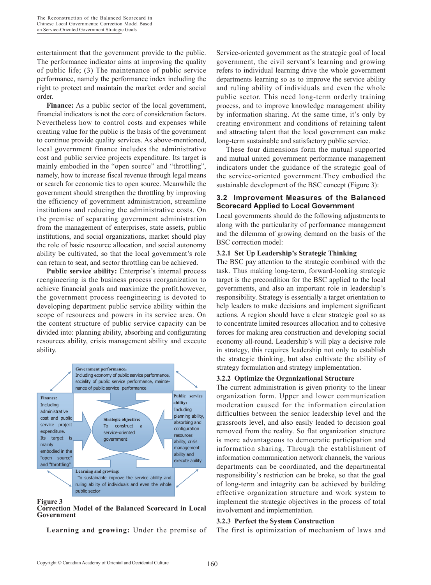entertainment that the government provide to the public. The performance indicator aims at improving the quality of public life; (3) The maintenance of public service performance, namely the performance index including the right to protect and maintain the market order and social order.

Finance: As a public sector of the local government, financial indicators is not the core of consideration factors. Nevertheless how to control costs and expenses while creating value for the public is the basis of the government to continue provide quality services. As above-mentioned, local government finance includes the administrative cost and public service projects expenditure. Its target is mainly embodied in the "open source" and "throttling", namely, how to increase fiscal revenue through legal means or search for economic ties to open source. Meanwhile the government should strengthen the throttling by improving the efficiency of government administration, streamline institutions and reducing the administrative costs. On the premise of separating government administration from the management of enterprises, state assets, public institutions, and social organizations, market should play the role of basic resource allocation, and social autonomy ability be cultivated, so that the local government's role can return to seat, and sector throttling can be achieved.

**Public service ability:** Enterprise's internal process reengineering is the business process reorganization to achieve financial goals and maximize the profit.however, the government process reengineering is devoted to developing department public service ability within the scope of resources and powers in its service area. On the content structure of public service capacity can be divided into: planning ability, absorbing and configurating resources ability, crisis management ability and execute ability.



**Figure 3 Correction Model of the Balanced Scorecard in Local Government**

**Learning and growing:** Under the premise of

Service-oriented government as the strategic goal of local government, the civil servant's learning and growing refers to individual learning drive the whole government departments learning so as to improve the service ability and ruling ability of individuals and even the whole public sector. This need long-term orderly training process, and to improve knowledge management ability by information sharing. At the same time, it's only by creating environment and conditions of retaining talent and attracting talent that the local government can make long-term sustainable and satisfactory public service.

These four dimensions form the mutual supported and mutual united government performance management indicators under the guidance of the strategic goal of the service-oriented government.They embodied the sustainable development of the BSC concept (Figure 3):

#### **3.2 Improvement Measures of the Balanced Scorecard Applied to Local Government**

Local governments should do the following adjustments to along with the particularity of performance management and the dilemma of growing demand on the basis of the BSC correction model:

#### **3.2.1 Set Up Leadership's Strategic Thinking**

The BSC pay attention to the strategic combined with the task. Thus making long-term, forward-looking strategic target is the precondition for the BSC applied to the local governments, and also an important role in leadership's responsibility. Strategy is essentially a target orientation to help leaders to make decisions and implement significant actions. A region should have a clear strategic goal so as to concentrate limited resources allocation and to cohesive forces for making area construction and developing social economy all-round. Leadership's will play a decisive role in strategy, this requires leadership not only to establish the strategic thinking, but also cultivate the ability of strategy formulation and strategy implementation.

#### **3.2.2 Optimize the Organizational Structure**

The current administration is given priority to the linear organization form. Upper and lower communication moderation caused for the information circulation difficulties between the senior leadership level and the grassroots level, and also easily leaded to decision goal removed from the reality. So flat organization structure is more advantageous to democratic participation and information sharing. Through the establishment of information communication network channels, the various departments can be coordinated, and the departmental responsibility's restriction can be broke, so that the goal of long-term and integrity can be achieved by building effective organization structure and work system to implement the strategic objectives in the process of total involvement and implementation.

#### **3.2.3 Perfect the System Construction**

The first is optimization of mechanism of laws and